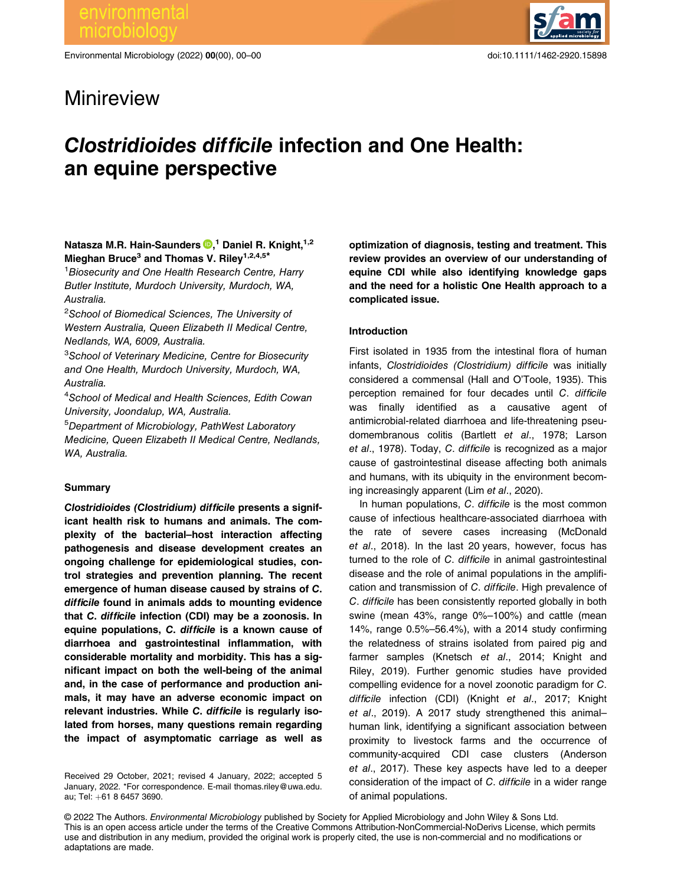Environmental Microbiology (2022) 00(00), 00–00 doi:10.1111/1462-2920.15898



## Minireview

# Clostridioides difficile infection and One Health: an equine perspective

## Natasza M.R. Hain-Saunders <sup>®</sup>[,](https://orcid.org/0000-0002-4259-4340)<sup>1</sup> Daniel R. Knight,<sup>1,2</sup> Mieghan Bruce<sup>3</sup> and Thomas V. Riley<sup>1,2,4,5\*</sup>

<sup>1</sup> Biosecurity and One Health Research Centre, Harry Butler Institute, Murdoch University, Murdoch, WA, Australia.

<sup>2</sup>School of Biomedical Sciences, The University of Western Australia, Queen Elizabeth II Medical Centre, Nedlands, WA, 6009, Australia.

<sup>3</sup>School of Veterinary Medicine, Centre for Biosecurity and One Health, Murdoch University, Murdoch, WA, Australia.

4 School of Medical and Health Sciences, Edith Cowan University, Joondalup, WA, Australia.

5 Department of Microbiology, PathWest Laboratory Medicine, Queen Elizabeth II Medical Centre, Nedlands, WA, Australia.

## **Summary**

Clostridioides (Clostridium) difficile presents a significant health risk to humans and animals. The complexity of the bacterial–host interaction affecting pathogenesis and disease development creates an ongoing challenge for epidemiological studies, control strategies and prevention planning. The recent emergence of human disease caused by strains of C. difficile found in animals adds to mounting evidence that C. difficile infection (CDI) may be a zoonosis. In equine populations, C. difficile is a known cause of diarrhoea and gastrointestinal inflammation, with considerable mortality and morbidity. This has a significant impact on both the well-being of the animal and, in the case of performance and production animals, it may have an adverse economic impact on relevant industries. While C. difficile is regularly isolated from horses, many questions remain regarding the impact of asymptomatic carriage as well as

Received 29 October, 2021; revised 4 January, 2022; accepted 5 January, 2022. \*For correspondence. E-mail [thomas.riley@uwa.edu.](mailto:thomas.riley@uwa.edu.au) [au](mailto:thomas.riley@uwa.edu.au); Tel: +61 8 6457 3690.

optimization of diagnosis, testing and treatment. This review provides an overview of our understanding of equine CDI while also identifying knowledge gaps and the need for a holistic One Health approach to a complicated issue.

## Introduction

First isolated in 1935 from the intestinal flora of human infants, Clostridioides (Clostridium) difficile was initially considered a commensal (Hall and O'Toole, 1935). This perception remained for four decades until C. difficile was finally identified as a causative agent of antimicrobial-related diarrhoea and life-threatening pseudomembranous colitis (Bartlett et al., 1978; Larson et al., 1978). Today, C. difficile is recognized as a major cause of gastrointestinal disease affecting both animals and humans, with its ubiquity in the environment becoming increasingly apparent (Lim et al., 2020).

In human populations, C. difficile is the most common cause of infectious healthcare-associated diarrhoea with the rate of severe cases increasing (McDonald et al., 2018). In the last 20 years, however, focus has turned to the role of C. difficile in animal gastrointestinal disease and the role of animal populations in the amplification and transmission of C. difficile. High prevalence of C. difficile has been consistently reported globally in both swine (mean 43%, range 0%–100%) and cattle (mean 14%, range 0.5%–56.4%), with a 2014 study confirming the relatedness of strains isolated from paired pig and farmer samples (Knetsch et al., 2014; Knight and Riley, 2019). Further genomic studies have provided compelling evidence for a novel zoonotic paradigm for C. difficile infection (CDI) (Knight et al., 2017; Knight et al., 2019). A 2017 study strengthened this animal– human link, identifying a significant association between proximity to livestock farms and the occurrence of community-acquired CDI case clusters (Anderson et al., 2017). These key aspects have led to a deeper consideration of the impact of C. difficile in a wider range of animal populations.

© 2022 The Authors. Environmental Microbiology published by Society for Applied Microbiology and John Wiley & Sons Ltd. This is an open access article under the terms of the [Creative Commons Attribution-NonCommercial-NoDerivs License, which permits](http:creativecommons.orglicensesby-nc-nd4.0) [use and distribution in any medium, provided the original work is properly cited, the use is non-commercial and no modi](http:creativecommons.orglicensesby-nc-nd4.0)fications or [adaptations are made.](http:creativecommons.orglicensesby-nc-nd4.0)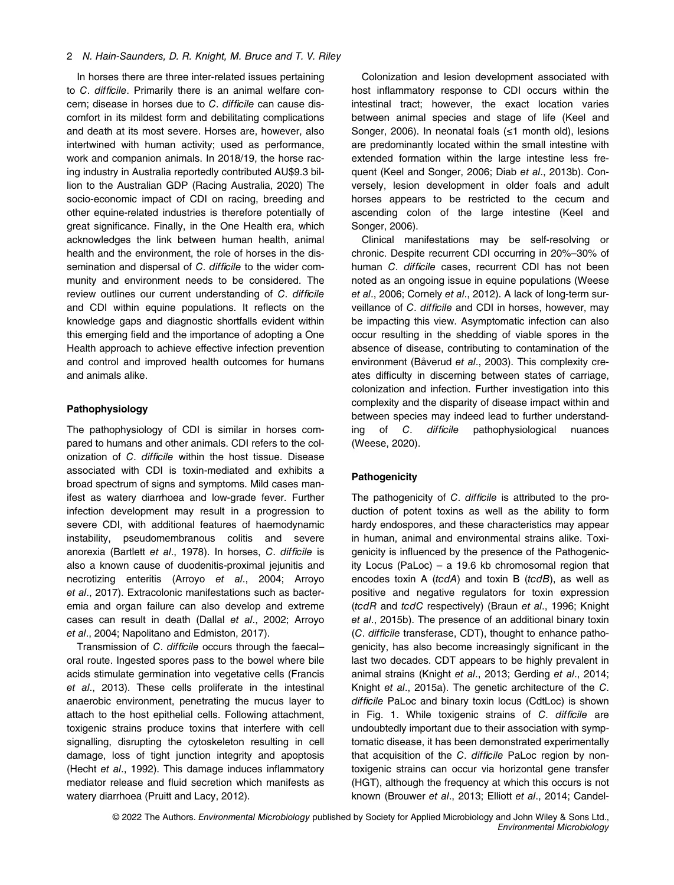## 2 N. Hain-Saunders, D. R. Knight, M. Bruce and T. V. Riley

In horses there are three inter-related issues pertaining to C. difficile. Primarily there is an animal welfare concern; disease in horses due to C. difficile can cause discomfort in its mildest form and debilitating complications and death at its most severe. Horses are, however, also intertwined with human activity; used as performance, work and companion animals. In 2018/19, the horse racing industry in Australia reportedly contributed AU\$9.3 billion to the Australian GDP (Racing Australia, 2020) The socio-economic impact of CDI on racing, breeding and other equine-related industries is therefore potentially of great significance. Finally, in the One Health era, which acknowledges the link between human health, animal health and the environment, the role of horses in the dissemination and dispersal of C. difficile to the wider community and environment needs to be considered. The review outlines our current understanding of C. difficile and CDI within equine populations. It reflects on the knowledge gaps and diagnostic shortfalls evident within this emerging field and the importance of adopting a One Health approach to achieve effective infection prevention and control and improved health outcomes for humans and animals alike.

## Pathophysiology

The pathophysiology of CDI is similar in horses compared to humans and other animals. CDI refers to the colonization of C. difficile within the host tissue. Disease associated with CDI is toxin-mediated and exhibits a broad spectrum of signs and symptoms. Mild cases manifest as watery diarrhoea and low-grade fever. Further infection development may result in a progression to severe CDI, with additional features of haemodynamic instability, pseudomembranous colitis and severe anorexia (Bartlett et al., 1978). In horses, C. difficile is also a known cause of duodenitis-proximal jejunitis and necrotizing enteritis (Arroyo et al., 2004; Arroyo et al., 2017). Extracolonic manifestations such as bacteremia and organ failure can also develop and extreme cases can result in death (Dallal et al., 2002; Arroyo et al., 2004; Napolitano and Edmiston, 2017).

Transmission of C. difficile occurs through the faecal– oral route. Ingested spores pass to the bowel where bile acids stimulate germination into vegetative cells (Francis et al., 2013). These cells proliferate in the intestinal anaerobic environment, penetrating the mucus layer to attach to the host epithelial cells. Following attachment, toxigenic strains produce toxins that interfere with cell signalling, disrupting the cytoskeleton resulting in cell damage, loss of tight junction integrity and apoptosis (Hecht et al., 1992). This damage induces inflammatory mediator release and fluid secretion which manifests as watery diarrhoea (Pruitt and Lacy, 2012).

Colonization and lesion development associated with host inflammatory response to CDI occurs within the intestinal tract; however, the exact location varies between animal species and stage of life (Keel and Songer, 2006). In neonatal foals (≤1 month old), lesions are predominantly located within the small intestine with extended formation within the large intestine less frequent (Keel and Songer, 2006; Diab et al., 2013b). Conversely, lesion development in older foals and adult horses appears to be restricted to the cecum and ascending colon of the large intestine (Keel and Songer, 2006).

Clinical manifestations may be self-resolving or chronic. Despite recurrent CDI occurring in 20%–30% of human C. difficile cases, recurrent CDI has not been noted as an ongoing issue in equine populations (Weese et al., 2006; Cornely et al., 2012). A lack of long-term surveillance of C. difficile and CDI in horses, however, may be impacting this view. Asymptomatic infection can also occur resulting in the shedding of viable spores in the absence of disease, contributing to contamination of the environment (Båverud et al., 2003). This complexity creates difficulty in discerning between states of carriage, colonization and infection. Further investigation into this complexity and the disparity of disease impact within and between species may indeed lead to further understanding of C. difficile pathophysiological nuances (Weese, 2020).

## **Pathogenicity**

The pathogenicity of C. difficile is attributed to the production of potent toxins as well as the ability to form hardy endospores, and these characteristics may appear in human, animal and environmental strains alike. Toxigenicity is influenced by the presence of the Pathogenicity Locus (PaLoc) – a 19.6 kb chromosomal region that encodes toxin A ( $tcdA$ ) and toxin B ( $tcdB$ ), as well as positive and negative regulators for toxin expression (tcdR and tcdC respectively) (Braun et al., 1996; Knight et al., 2015b). The presence of an additional binary toxin (C. difficile transferase, CDT), thought to enhance pathogenicity, has also become increasingly significant in the last two decades. CDT appears to be highly prevalent in animal strains (Knight et al., 2013; Gerding et al., 2014; Knight et al., 2015a). The genetic architecture of the C. difficile PaLoc and binary toxin locus (CdtLoc) is shown in Fig. 1. While toxigenic strains of C. difficile are undoubtedly important due to their association with symptomatic disease, it has been demonstrated experimentally that acquisition of the C. difficile PaLoc region by nontoxigenic strains can occur via horizontal gene transfer (HGT), although the frequency at which this occurs is not known (Brouwer et al., 2013; Elliott et al., 2014; Candel-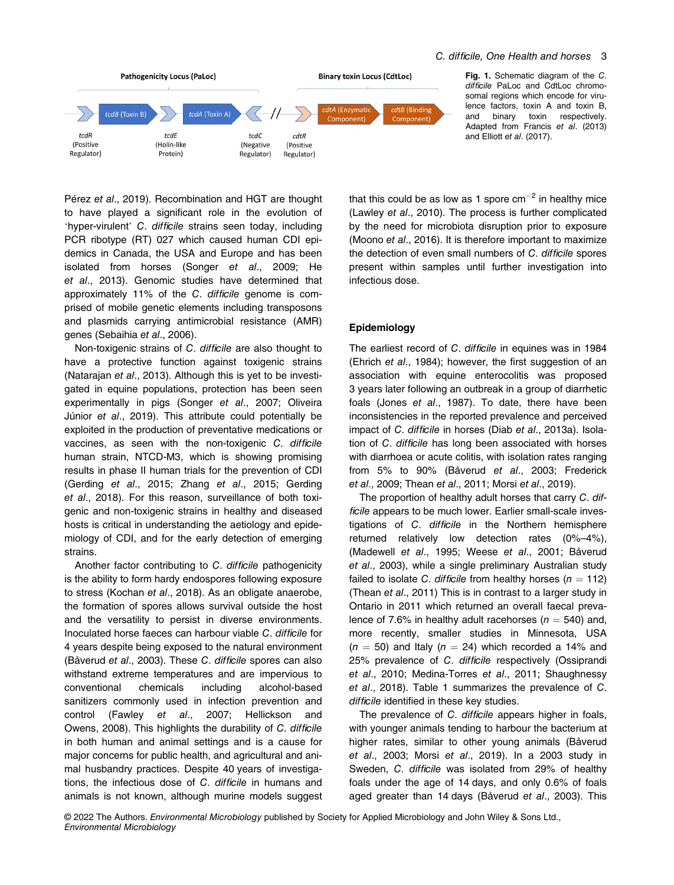

Fig. 1. Schematic diagram of the C. difficile PaLoc and CdtLoc chromosomal regions which encode for virulence factors, toxin A and toxin B, and binary toxin respectively. Adapted from Francis et al. (2013) and Elliott et al. (2017).

Pérez et al., 2019). Recombination and HGT are thought to have played a significant role in the evolution of 'hyper-virulent' C. difficile strains seen today, including PCR ribotype (RT) 027 which caused human CDI epidemics in Canada, the USA and Europe and has been isolated from horses (Songer et al., 2009; He et al., 2013). Genomic studies have determined that approximately 11% of the C. difficile genome is comprised of mobile genetic elements including transposons and plasmids carrying antimicrobial resistance (AMR) genes (Sebaihia et al., 2006).

Non-toxigenic strains of C. difficile are also thought to have a protective function against toxigenic strains (Natarajan et al., 2013). Although this is yet to be investigated in equine populations, protection has been seen experimentally in pigs (Songer et al., 2007; Oliveira Júnior et al., 2019). This attribute could potentially be exploited in the production of preventative medications or vaccines, as seen with the non-toxigenic C. difficile human strain, NTCD-M3, which is showing promising results in phase II human trials for the prevention of CDI (Gerding et al., 2015; Zhang et al., 2015; Gerding et al., 2018). For this reason, surveillance of both toxigenic and non-toxigenic strains in healthy and diseased hosts is critical in understanding the aetiology and epidemiology of CDI, and for the early detection of emerging strains.

Another factor contributing to C. difficile pathogenicity is the ability to form hardy endospores following exposure to stress (Kochan et al., 2018). As an obligate anaerobe, the formation of spores allows survival outside the host and the versatility to persist in diverse environments. Inoculated horse faeces can harbour viable C. difficile for 4 years despite being exposed to the natural environment (Båverud et al., 2003). These C. difficile spores can also withstand extreme temperatures and are impervious to conventional chemicals including alcohol-based sanitizers commonly used in infection prevention and control (Fawley et al., 2007; Hellickson and Owens, 2008). This highlights the durability of C. difficile in both human and animal settings and is a cause for major concerns for public health, and agricultural and animal husbandry practices. Despite 40 years of investigations, the infectious dose of C. difficile in humans and animals is not known, although murine models suggest

that this could be as low as 1 spore  $cm^{-2}$  in healthy mice (Lawley et al., 2010). The process is further complicated by the need for microbiota disruption prior to exposure (Moono et al., 2016). It is therefore important to maximize the detection of even small numbers of C. difficile spores present within samples until further investigation into infectious dose.

## Epidemiology

The earliest record of C. difficile in equines was in 1984 (Ehrich et al., 1984); however, the first suggestion of an association with equine enterocolitis was proposed 3 years later following an outbreak in a group of diarrhetic foals (Jones et al., 1987). To date, there have been inconsistencies in the reported prevalence and perceived impact of C. difficile in horses (Diab et al., 2013a). Isolation of C. difficile has long been associated with horses with diarrhoea or acute colitis, with isolation rates ranging from 5% to 90% (Båverud et al., 2003; Frederick et al., 2009; Thean et al., 2011; Morsi et al., 2019).

The proportion of healthy adult horses that carry C. difficile appears to be much lower. Earlier small-scale investigations of C. difficile in the Northern hemisphere returned relatively low detection rates (0%–4%), (Madewell et al., 1995; Weese et al., 2001; Båverud et al., 2003), while a single preliminary Australian study failed to isolate C. difficile from healthy horses ( $n = 112$ ) (Thean et al., 2011) This is in contrast to a larger study in Ontario in 2011 which returned an overall faecal prevalence of 7.6% in healthy adult racehorses ( $n = 540$ ) and, more recently, smaller studies in Minnesota, USA  $(n = 50)$  and Italy  $(n = 24)$  which recorded a 14% and 25% prevalence of C. difficile respectively (Ossiprandi et al., 2010; Medina-Torres et al., 2011; Shaughnessy et al., 2018). Table 1 summarizes the prevalence of C. difficile identified in these key studies.

The prevalence of C. difficile appears higher in foals, with younger animals tending to harbour the bacterium at higher rates, similar to other young animals (Båverud et al., 2003; Morsi et al., 2019). In a 2003 study in Sweden, C. difficile was isolated from 29% of healthy foals under the age of 14 days, and only 0.6% of foals aged greater than 14 days (Båverud et al., 2003). This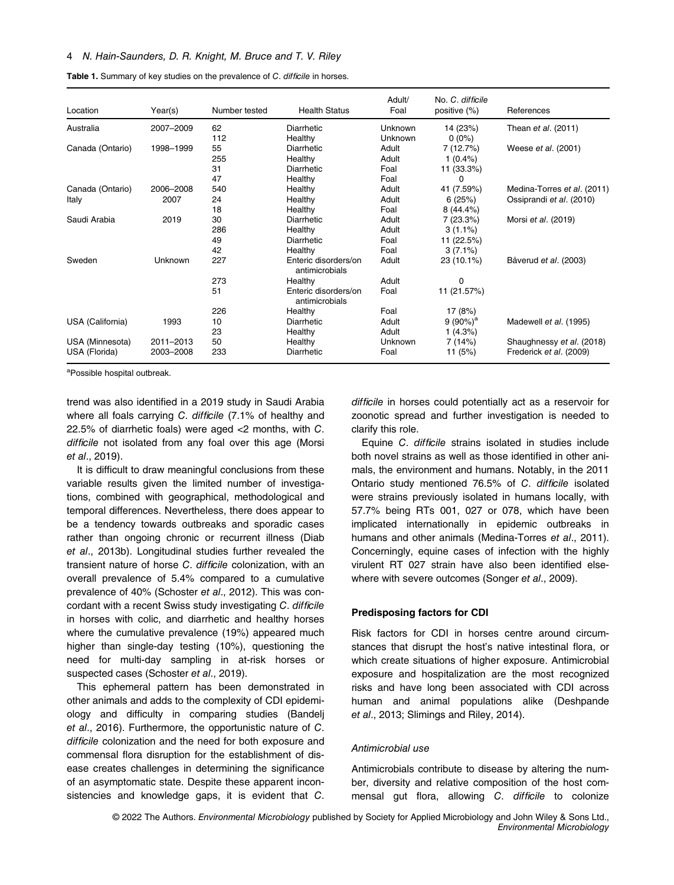## 4 N. Hain-Saunders, D. R. Knight, M. Bruce and T. V. Riley

| Location         | Year(s)   | Number tested | <b>Health Status</b>                   | Adult/<br>Foal | No. C. difficile<br>positive (%) | References                  |
|------------------|-----------|---------------|----------------------------------------|----------------|----------------------------------|-----------------------------|
| Australia        | 2007-2009 | 62            | Diarrhetic                             | Unknown        | 14 (23%)                         | Thean et al. (2011)         |
|                  |           | 112           | Healthy                                | Unknown        | $0(0\%)$                         |                             |
| Canada (Ontario) | 1998-1999 | 55            | Diarrhetic                             | Adult          | 7(12.7%)                         | Weese et al. (2001)         |
|                  |           | 255           | Healthy                                | Adult          | $1(0.4\%)$                       |                             |
|                  |           | 31            | Diarrhetic                             | Foal           | 11 (33.3%)                       |                             |
|                  |           | 47            | Healthy                                | Foal           | 0                                |                             |
| Canada (Ontario) | 2006-2008 | 540           | Healthy                                | Adult          | 41 (7.59%)                       | Medina-Torres et al. (2011) |
| Italy            | 2007      | 24            | Healthy                                | Adult          | 6(25%)                           | Ossiprandi et al. (2010)    |
|                  |           | 18            | Healthy                                | Foal           | $8(44.4\%)$                      |                             |
| Saudi Arabia     | 2019      | 30            | Diarrhetic                             | Adult          | 7(23.3%)                         | Morsi et al. (2019)         |
|                  |           | 286           | Healthy                                | Adult          | $3(1.1\%)$                       |                             |
|                  |           | 49            | Diarrhetic                             | Foal           | 11 (22.5%)                       |                             |
|                  |           | 42            | Healthy                                | Foal           | $3(7.1\%)$                       |                             |
| Sweden           | Unknown   | 227           | Enteric disorders/on<br>antimicrobials | Adult          | 23 (10.1%)                       | Båverud et al. (2003)       |
|                  |           | 273           | Healthy                                | Adult          | 0                                |                             |
|                  |           | 51            | Enteric disorders/on<br>antimicrobials | Foal           | 11 (21.57%)                      |                             |
|                  |           | 226           | Healthy                                | Foal           | 17 (8%)                          |                             |
| USA (California) | 1993      | 10            | Diarrhetic                             | Adult          | 9 $(90\%)^a$                     | Madewell et al. (1995)      |
|                  |           | 23            | Healthy                                | Adult          | 1(4.3%)                          |                             |
| USA (Minnesota)  | 2011-2013 | 50            | Healthy                                | Unknown        | 7(14%)                           | Shaughnessy et al. (2018)   |
| USA (Florida)    | 2003–2008 | 233           | Diarrhetic                             | Foal           | 11 $(5%)$                        | Frederick et al. (2009)     |

Table 1. Summary of key studies on the prevalence of C. difficile in horses.

a Possible hospital outbreak.

trend was also identified in a 2019 study in Saudi Arabia where all foals carrying C. difficile (7.1% of healthy and 22.5% of diarrhetic foals) were aged <2 months, with C. difficile not isolated from any foal over this age (Morsi et al., 2019).

It is difficult to draw meaningful conclusions from these variable results given the limited number of investigations, combined with geographical, methodological and temporal differences. Nevertheless, there does appear to be a tendency towards outbreaks and sporadic cases rather than ongoing chronic or recurrent illness (Diab et al., 2013b). Longitudinal studies further revealed the transient nature of horse C. difficile colonization, with an overall prevalence of 5.4% compared to a cumulative prevalence of 40% (Schoster et al., 2012). This was concordant with a recent Swiss study investigating C. difficile in horses with colic, and diarrhetic and healthy horses where the cumulative prevalence (19%) appeared much higher than single-day testing (10%), questioning the need for multi-day sampling in at-risk horses or suspected cases (Schoster et al., 2019).

This ephemeral pattern has been demonstrated in other animals and adds to the complexity of CDI epidemiology and difficulty in comparing studies (Bandelj et al., 2016). Furthermore, the opportunistic nature of C. difficile colonization and the need for both exposure and commensal flora disruption for the establishment of disease creates challenges in determining the significance of an asymptomatic state. Despite these apparent inconsistencies and knowledge gaps, it is evident that C. difficile in horses could potentially act as a reservoir for zoonotic spread and further investigation is needed to clarify this role.

Equine C. difficile strains isolated in studies include both novel strains as well as those identified in other animals, the environment and humans. Notably, in the 2011 Ontario study mentioned 76.5% of C. difficile isolated were strains previously isolated in humans locally, with 57.7% being RTs 001, 027 or 078, which have been implicated internationally in epidemic outbreaks in humans and other animals (Medina-Torres et al., 2011). Concerningly, equine cases of infection with the highly virulent RT 027 strain have also been identified elsewhere with severe outcomes (Songer et al., 2009).

## Predisposing factors for CDI

Risk factors for CDI in horses centre around circumstances that disrupt the host's native intestinal flora, or which create situations of higher exposure. Antimicrobial exposure and hospitalization are the most recognized risks and have long been associated with CDI across human and animal populations alike (Deshpande et al., 2013; Slimings and Riley, 2014).

## Antimicrobial use

Antimicrobials contribute to disease by altering the number, diversity and relative composition of the host commensal gut flora, allowing C. difficile to colonize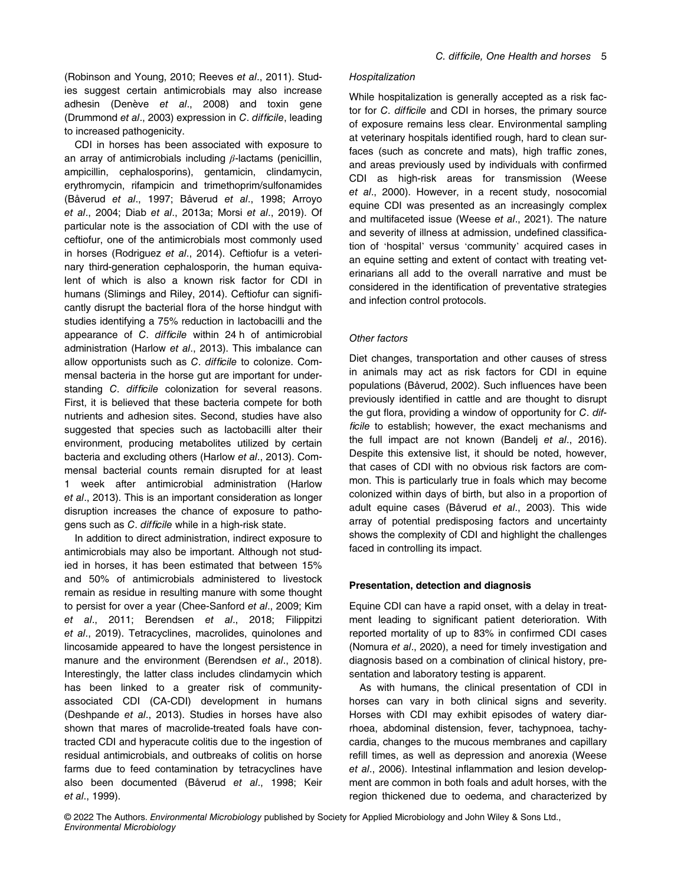(Robinson and Young, 2010; Reeves et al., 2011). Studies suggest certain antimicrobials may also increase adhesin (Denève et al., 2008) and toxin gene (Drummond et al., 2003) expression in C. difficile, leading to increased pathogenicity.

CDI in horses has been associated with exposure to an array of antimicrobials including  $β$ -lactams (penicillin, ampicillin, cephalosporins), gentamicin, clindamycin, erythromycin, rifampicin and trimethoprim/sulfonamides (Båverud et al., 1997; Båverud et al., 1998; Arroyo et al., 2004; Diab et al., 2013a; Morsi et al., 2019). Of particular note is the association of CDI with the use of ceftiofur, one of the antimicrobials most commonly used in horses (Rodriguez et al., 2014). Ceftiofur is a veterinary third-generation cephalosporin, the human equivalent of which is also a known risk factor for CDI in humans (Slimings and Riley, 2014). Ceftiofur can significantly disrupt the bacterial flora of the horse hindgut with studies identifying a 75% reduction in lactobacilli and the appearance of C. difficile within 24 h of antimicrobial administration (Harlow et al., 2013). This imbalance can allow opportunists such as C. difficile to colonize. Commensal bacteria in the horse gut are important for understanding C. difficile colonization for several reasons. First, it is believed that these bacteria compete for both nutrients and adhesion sites. Second, studies have also suggested that species such as lactobacilli alter their environment, producing metabolites utilized by certain bacteria and excluding others (Harlow et al., 2013). Commensal bacterial counts remain disrupted for at least 1 week after antimicrobial administration (Harlow et al., 2013). This is an important consideration as longer disruption increases the chance of exposure to pathogens such as C. difficile while in a high-risk state.

In addition to direct administration, indirect exposure to antimicrobials may also be important. Although not studied in horses, it has been estimated that between 15% and 50% of antimicrobials administered to livestock remain as residue in resulting manure with some thought to persist for over a year (Chee-Sanford et al., 2009; Kim et al., 2011; Berendsen et al., 2018; Filippitzi et al., 2019). Tetracyclines, macrolides, quinolones and lincosamide appeared to have the longest persistence in manure and the environment (Berendsen et al., 2018). Interestingly, the latter class includes clindamycin which has been linked to a greater risk of communityassociated CDI (CA-CDI) development in humans (Deshpande et al., 2013). Studies in horses have also shown that mares of macrolide-treated foals have contracted CDI and hyperacute colitis due to the ingestion of residual antimicrobials, and outbreaks of colitis on horse farms due to feed contamination by tetracyclines have also been documented (Båverud et al., 1998; Keir et al., 1999).

#### Hospitalization

While hospitalization is generally accepted as a risk factor for C. difficile and CDI in horses, the primary source of exposure remains less clear. Environmental sampling at veterinary hospitals identified rough, hard to clean surfaces (such as concrete and mats), high traffic zones, and areas previously used by individuals with confirmed CDI as high-risk areas for transmission (Weese et al., 2000). However, in a recent study, nosocomial equine CDI was presented as an increasingly complex and multifaceted issue (Weese et al., 2021). The nature and severity of illness at admission, undefined classification of 'hospital' versus 'community' acquired cases in an equine setting and extent of contact with treating veterinarians all add to the overall narrative and must be considered in the identification of preventative strategies and infection control protocols.

#### Other factors

Diet changes, transportation and other causes of stress in animals may act as risk factors for CDI in equine populations (Båverud, 2002). Such influences have been previously identified in cattle and are thought to disrupt the gut flora, providing a window of opportunity for C. difficile to establish; however, the exact mechanisms and the full impact are not known (Bandelj et al., 2016). Despite this extensive list, it should be noted, however, that cases of CDI with no obvious risk factors are common. This is particularly true in foals which may become colonized within days of birth, but also in a proportion of adult equine cases (Båverud et al., 2003). This wide array of potential predisposing factors and uncertainty shows the complexity of CDI and highlight the challenges faced in controlling its impact.

#### Presentation, detection and diagnosis

Equine CDI can have a rapid onset, with a delay in treatment leading to significant patient deterioration. With reported mortality of up to 83% in confirmed CDI cases (Nomura et al., 2020), a need for timely investigation and diagnosis based on a combination of clinical history, presentation and laboratory testing is apparent.

As with humans, the clinical presentation of CDI in horses can vary in both clinical signs and severity. Horses with CDI may exhibit episodes of watery diarrhoea, abdominal distension, fever, tachypnoea, tachycardia, changes to the mucous membranes and capillary refill times, as well as depression and anorexia (Weese et al., 2006). Intestinal inflammation and lesion development are common in both foals and adult horses, with the region thickened due to oedema, and characterized by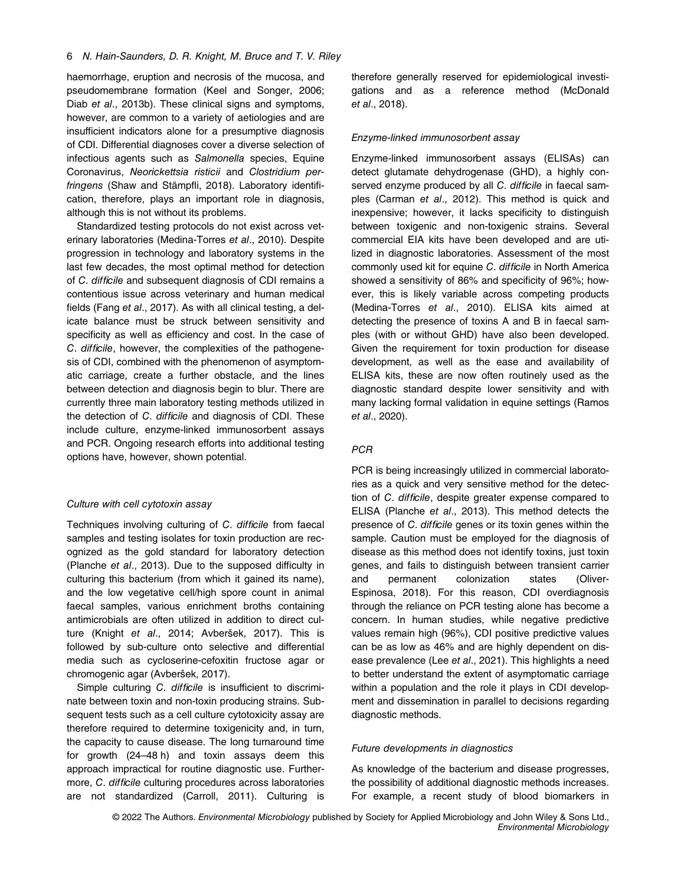haemorrhage, eruption and necrosis of the mucosa, and pseudomembrane formation (Keel and Songer, 2006; Diab et al., 2013b). These clinical signs and symptoms, however, are common to a variety of aetiologies and are insufficient indicators alone for a presumptive diagnosis of CDI. Differential diagnoses cover a diverse selection of infectious agents such as Salmonella species, Equine Coronavirus, Neorickettsia risticii and Clostridium perfringens (Shaw and Stämpfli, 2018). Laboratory identification, therefore, plays an important role in diagnosis, although this is not without its problems.

Standardized testing protocols do not exist across veterinary laboratories (Medina-Torres et al., 2010). Despite progression in technology and laboratory systems in the last few decades, the most optimal method for detection of C. difficile and subsequent diagnosis of CDI remains a contentious issue across veterinary and human medical fields (Fang et al., 2017). As with all clinical testing, a delicate balance must be struck between sensitivity and specificity as well as efficiency and cost. In the case of C. difficile, however, the complexities of the pathogenesis of CDI, combined with the phenomenon of asymptomatic carriage, create a further obstacle, and the lines between detection and diagnosis begin to blur. There are currently three main laboratory testing methods utilized in the detection of C. difficile and diagnosis of CDI. These include culture, enzyme-linked immunosorbent assays and PCR. Ongoing research efforts into additional testing options have, however, shown potential.

## Culture with cell cytotoxin assay

Techniques involving culturing of C. difficile from faecal samples and testing isolates for toxin production are recognized as the gold standard for laboratory detection (Planche et al., 2013). Due to the supposed difficulty in culturing this bacterium (from which it gained its name), and the low vegetative cell/high spore count in animal faecal samples, various enrichment broths containing antimicrobials are often utilized in addition to direct culture (Knight et al., 2014; Avberšek, 2017). This is followed by sub-culture onto selective and differential media such as cycloserine-cefoxitin fructose agar or chromogenic agar (Avberšek, 2017).

Simple culturing C. difficile is insufficient to discriminate between toxin and non-toxin producing strains. Subsequent tests such as a cell culture cytotoxicity assay are therefore required to determine toxigenicity and, in turn, the capacity to cause disease. The long turnaround time for growth (24–48 h) and toxin assays deem this approach impractical for routine diagnostic use. Furthermore, C. difficile culturing procedures across laboratories are not standardized (Carroll, 2011). Culturing is therefore generally reserved for epidemiological investigations and as a reference method (McDonald et al., 2018).

#### Enzyme-linked immunosorbent assay

Enzyme-linked immunosorbent assays (ELISAs) can detect glutamate dehydrogenase (GHD), a highly conserved enzyme produced by all C. difficile in faecal samples (Carman et al., 2012). This method is quick and inexpensive; however, it lacks specificity to distinguish between toxigenic and non-toxigenic strains. Several commercial EIA kits have been developed and are utilized in diagnostic laboratories. Assessment of the most commonly used kit for equine C. difficile in North America showed a sensitivity of 86% and specificity of 96%; however, this is likely variable across competing products (Medina-Torres et al., 2010). ELISA kits aimed at detecting the presence of toxins A and B in faecal samples (with or without GHD) have also been developed. Given the requirement for toxin production for disease development, as well as the ease and availability of ELISA kits, these are now often routinely used as the diagnostic standard despite lower sensitivity and with many lacking formal validation in equine settings (Ramos et al., 2020).

#### **PCR**

PCR is being increasingly utilized in commercial laboratories as a quick and very sensitive method for the detection of C. difficile, despite greater expense compared to ELISA (Planche et al., 2013). This method detects the presence of C. difficile genes or its toxin genes within the sample. Caution must be employed for the diagnosis of disease as this method does not identify toxins, just toxin genes, and fails to distinguish between transient carrier and permanent colonization states (Oliver-Espinosa, 2018). For this reason, CDI overdiagnosis through the reliance on PCR testing alone has become a concern. In human studies, while negative predictive values remain high (96%), CDI positive predictive values can be as low as 46% and are highly dependent on disease prevalence (Lee et al., 2021). This highlights a need to better understand the extent of asymptomatic carriage within a population and the role it plays in CDI development and dissemination in parallel to decisions regarding diagnostic methods.

## Future developments in diagnostics

As knowledge of the bacterium and disease progresses, the possibility of additional diagnostic methods increases. For example, a recent study of blood biomarkers in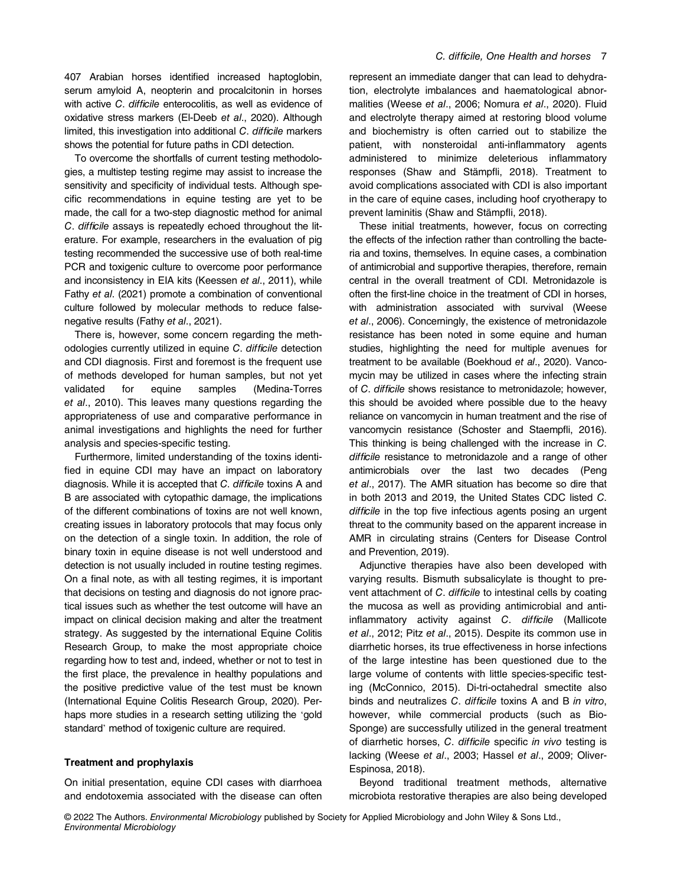407 Arabian horses identified increased haptoglobin, serum amyloid A, neopterin and procalcitonin in horses with active C. difficile enterocolitis, as well as evidence of oxidative stress markers (El-Deeb et al., 2020). Although limited, this investigation into additional C. difficile markers shows the potential for future paths in CDI detection.

To overcome the shortfalls of current testing methodologies, a multistep testing regime may assist to increase the sensitivity and specificity of individual tests. Although specific recommendations in equine testing are yet to be made, the call for a two-step diagnostic method for animal C. difficile assays is repeatedly echoed throughout the literature. For example, researchers in the evaluation of pig testing recommended the successive use of both real-time PCR and toxigenic culture to overcome poor performance and inconsistency in EIA kits (Keessen et al., 2011), while Fathy et al. (2021) promote a combination of conventional culture followed by molecular methods to reduce falsenegative results (Fathy et al., 2021).

There is, however, some concern regarding the methodologies currently utilized in equine C. difficile detection and CDI diagnosis. First and foremost is the frequent use of methods developed for human samples, but not yet validated for equine samples (Medina-Torres et al., 2010). This leaves many questions regarding the appropriateness of use and comparative performance in animal investigations and highlights the need for further analysis and species-specific testing.

Furthermore, limited understanding of the toxins identified in equine CDI may have an impact on laboratory diagnosis. While it is accepted that C. difficile toxins A and B are associated with cytopathic damage, the implications of the different combinations of toxins are not well known, creating issues in laboratory protocols that may focus only on the detection of a single toxin. In addition, the role of binary toxin in equine disease is not well understood and detection is not usually included in routine testing regimes. On a final note, as with all testing regimes, it is important that decisions on testing and diagnosis do not ignore practical issues such as whether the test outcome will have an impact on clinical decision making and alter the treatment strategy. As suggested by the international Equine Colitis Research Group, to make the most appropriate choice regarding how to test and, indeed, whether or not to test in the first place, the prevalence in healthy populations and the positive predictive value of the test must be known (International Equine Colitis Research Group, 2020). Perhaps more studies in a research setting utilizing the 'gold standard' method of toxigenic culture are required.

## Treatment and prophylaxis

On initial presentation, equine CDI cases with diarrhoea and endotoxemia associated with the disease can often represent an immediate danger that can lead to dehydration, electrolyte imbalances and haematological abnormalities (Weese et al., 2006; Nomura et al., 2020). Fluid and electrolyte therapy aimed at restoring blood volume and biochemistry is often carried out to stabilize the patient, with nonsteroidal anti-inflammatory agents administered to minimize deleterious inflammatory responses (Shaw and Stämpfli, 2018). Treatment to avoid complications associated with CDI is also important in the care of equine cases, including hoof cryotherapy to prevent laminitis (Shaw and Stämpfli, 2018).

These initial treatments, however, focus on correcting the effects of the infection rather than controlling the bacteria and toxins, themselves. In equine cases, a combination of antimicrobial and supportive therapies, therefore, remain central in the overall treatment of CDI. Metronidazole is often the first-line choice in the treatment of CDI in horses, with administration associated with survival (Weese et al., 2006). Concerningly, the existence of metronidazole resistance has been noted in some equine and human studies, highlighting the need for multiple avenues for treatment to be available (Boekhoud et al., 2020). Vancomycin may be utilized in cases where the infecting strain of C. difficile shows resistance to metronidazole; however, this should be avoided where possible due to the heavy reliance on vancomycin in human treatment and the rise of vancomycin resistance (Schoster and Staempfli, 2016). This thinking is being challenged with the increase in C. difficile resistance to metronidazole and a range of other antimicrobials over the last two decades (Peng et al., 2017). The AMR situation has become so dire that in both 2013 and 2019, the United States CDC listed C. difficile in the top five infectious agents posing an urgent threat to the community based on the apparent increase in AMR in circulating strains (Centers for Disease Control and Prevention, 2019).

Adjunctive therapies have also been developed with varying results. Bismuth subsalicylate is thought to prevent attachment of C. difficile to intestinal cells by coating the mucosa as well as providing antimicrobial and antiinflammatory activity against C. difficile (Mallicote et al., 2012; Pitz et al., 2015). Despite its common use in diarrhetic horses, its true effectiveness in horse infections of the large intestine has been questioned due to the large volume of contents with little species-specific testing (McConnico, 2015). Di-tri-octahedral smectite also binds and neutralizes C. difficile toxins A and B in vitro, however, while commercial products (such as Bio-Sponge) are successfully utilized in the general treatment of diarrhetic horses, C. difficile specific in vivo testing is lacking (Weese et al., 2003; Hassel et al., 2009; Oliver-Espinosa, 2018).

Beyond traditional treatment methods, alternative microbiota restorative therapies are also being developed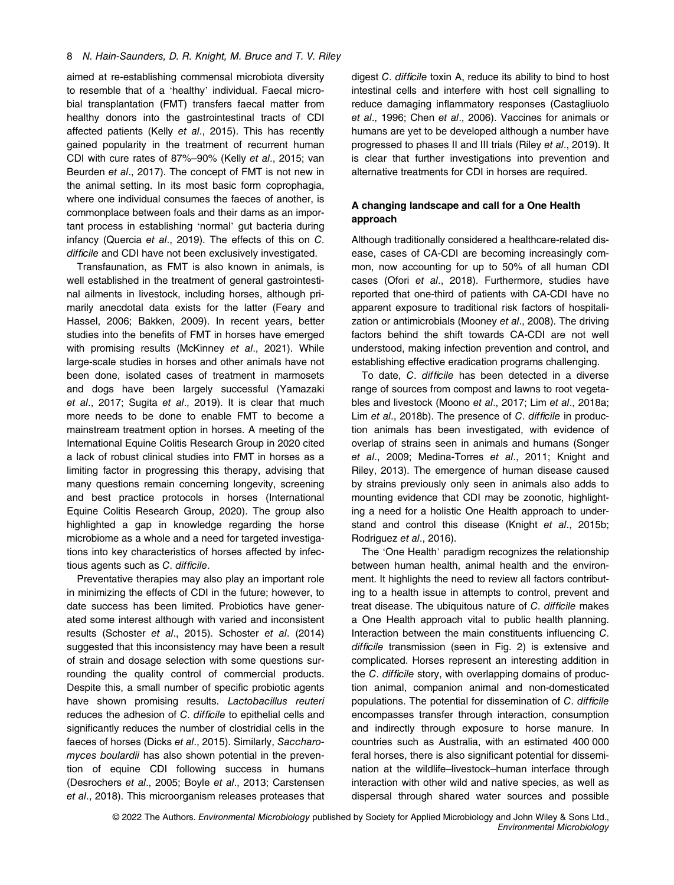aimed at re-establishing commensal microbiota diversity to resemble that of a 'healthy' individual. Faecal microbial transplantation (FMT) transfers faecal matter from healthy donors into the gastrointestinal tracts of CDI affected patients (Kelly et al., 2015). This has recently gained popularity in the treatment of recurrent human CDI with cure rates of 87%–90% (Kelly et al., 2015; van Beurden et al., 2017). The concept of FMT is not new in the animal setting. In its most basic form coprophagia, where one individual consumes the faeces of another, is commonplace between foals and their dams as an important process in establishing 'normal' gut bacteria during infancy (Quercia et al., 2019). The effects of this on C. difficile and CDI have not been exclusively investigated.

Transfaunation, as FMT is also known in animals, is well established in the treatment of general gastrointestinal ailments in livestock, including horses, although primarily anecdotal data exists for the latter (Feary and Hassel, 2006; Bakken, 2009). In recent years, better studies into the benefits of FMT in horses have emerged with promising results (McKinney et al., 2021). While large-scale studies in horses and other animals have not been done, isolated cases of treatment in marmosets and dogs have been largely successful (Yamazaki et al., 2017; Sugita et al., 2019). It is clear that much more needs to be done to enable FMT to become a mainstream treatment option in horses. A meeting of the International Equine Colitis Research Group in 2020 cited a lack of robust clinical studies into FMT in horses as a limiting factor in progressing this therapy, advising that many questions remain concerning longevity, screening and best practice protocols in horses (International Equine Colitis Research Group, 2020). The group also highlighted a gap in knowledge regarding the horse microbiome as a whole and a need for targeted investigations into key characteristics of horses affected by infectious agents such as C. difficile.

Preventative therapies may also play an important role in minimizing the effects of CDI in the future; however, to date success has been limited. Probiotics have generated some interest although with varied and inconsistent results (Schoster et al., 2015). Schoster et al. (2014) suggested that this inconsistency may have been a result of strain and dosage selection with some questions surrounding the quality control of commercial products. Despite this, a small number of specific probiotic agents have shown promising results. Lactobacillus reuteri reduces the adhesion of C. difficile to epithelial cells and significantly reduces the number of clostridial cells in the faeces of horses (Dicks et al., 2015). Similarly, Saccharomyces boulardii has also shown potential in the prevention of equine CDI following success in humans (Desrochers et al., 2005; Boyle et al., 2013; Carstensen et al., 2018). This microorganism releases proteases that digest C. difficile toxin A, reduce its ability to bind to host intestinal cells and interfere with host cell signalling to reduce damaging inflammatory responses (Castagliuolo et al., 1996; Chen et al., 2006). Vaccines for animals or humans are yet to be developed although a number have progressed to phases II and III trials (Riley et al., 2019). It is clear that further investigations into prevention and alternative treatments for CDI in horses are required.

## A changing landscape and call for a One Health approach

Although traditionally considered a healthcare-related disease, cases of CA-CDI are becoming increasingly common, now accounting for up to 50% of all human CDI cases (Ofori et al., 2018). Furthermore, studies have reported that one-third of patients with CA-CDI have no apparent exposure to traditional risk factors of hospitalization or antimicrobials (Mooney et al., 2008). The driving factors behind the shift towards CA-CDI are not well understood, making infection prevention and control, and establishing effective eradication programs challenging.

To date, C. difficile has been detected in a diverse range of sources from compost and lawns to root vegetables and livestock (Moono et al., 2017; Lim et al., 2018a; Lim et al., 2018b). The presence of C. difficile in production animals has been investigated, with evidence of overlap of strains seen in animals and humans (Songer et al., 2009; Medina-Torres et al., 2011; Knight and Riley, 2013). The emergence of human disease caused by strains previously only seen in animals also adds to mounting evidence that CDI may be zoonotic, highlighting a need for a holistic One Health approach to understand and control this disease (Knight et al., 2015b; Rodriguez et al., 2016).

The 'One Health' paradigm recognizes the relationship between human health, animal health and the environment. It highlights the need to review all factors contributing to a health issue in attempts to control, prevent and treat disease. The ubiquitous nature of C. difficile makes a One Health approach vital to public health planning. Interaction between the main constituents influencing C. difficile transmission (seen in Fig. 2) is extensive and complicated. Horses represent an interesting addition in the C. difficile story, with overlapping domains of production animal, companion animal and non-domesticated populations. The potential for dissemination of C. difficile encompasses transfer through interaction, consumption and indirectly through exposure to horse manure. In countries such as Australia, with an estimated 400 000 feral horses, there is also significant potential for dissemination at the wildlife–livestock–human interface through interaction with other wild and native species, as well as dispersal through shared water sources and possible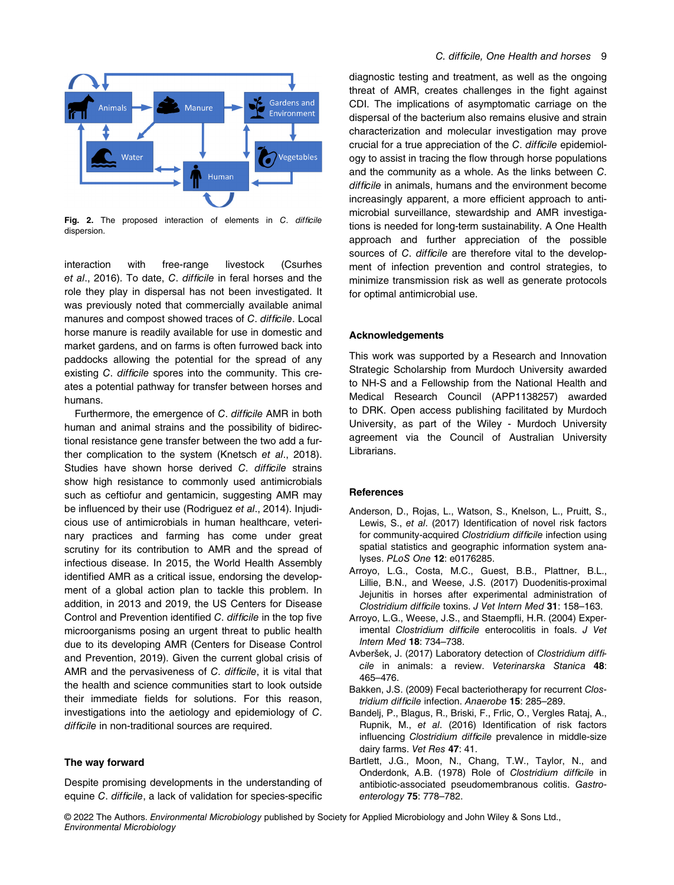

Fig. 2. The proposed interaction of elements in C. difficile dispersion.

interaction with free-range livestock (Csurhes et al., 2016). To date, C. difficile in feral horses and the role they play in dispersal has not been investigated. It was previously noted that commercially available animal manures and compost showed traces of C. difficile. Local horse manure is readily available for use in domestic and market gardens, and on farms is often furrowed back into paddocks allowing the potential for the spread of any existing C. difficile spores into the community. This creates a potential pathway for transfer between horses and humans.

Furthermore, the emergence of C. difficile AMR in both human and animal strains and the possibility of bidirectional resistance gene transfer between the two add a further complication to the system (Knetsch et al., 2018). Studies have shown horse derived C. difficile strains show high resistance to commonly used antimicrobials such as ceftiofur and gentamicin, suggesting AMR may be influenced by their use (Rodriguez et al., 2014). Injudicious use of antimicrobials in human healthcare, veterinary practices and farming has come under great scrutiny for its contribution to AMR and the spread of infectious disease. In 2015, the World Health Assembly identified AMR as a critical issue, endorsing the development of a global action plan to tackle this problem. In addition, in 2013 and 2019, the US Centers for Disease Control and Prevention identified C. difficile in the top five microorganisms posing an urgent threat to public health due to its developing AMR (Centers for Disease Control and Prevention, 2019). Given the current global crisis of AMR and the pervasiveness of C. difficile, it is vital that the health and science communities start to look outside their immediate fields for solutions. For this reason, investigations into the aetiology and epidemiology of C. difficile in non-traditional sources are required.

## The way forward

Despite promising developments in the understanding of equine C. difficile, a lack of validation for species-specific

diagnostic testing and treatment, as well as the ongoing threat of AMR, creates challenges in the fight against CDI. The implications of asymptomatic carriage on the dispersal of the bacterium also remains elusive and strain characterization and molecular investigation may prove crucial for a true appreciation of the C. difficile epidemiology to assist in tracing the flow through horse populations and the community as a whole. As the links between C. difficile in animals, humans and the environment become increasingly apparent, a more efficient approach to antimicrobial surveillance, stewardship and AMR investigations is needed for long-term sustainability. A One Health approach and further appreciation of the possible sources of C. difficile are therefore vital to the development of infection prevention and control strategies, to minimize transmission risk as well as generate protocols for optimal antimicrobial use.

## Acknowledgements

This work was supported by a Research and Innovation Strategic Scholarship from Murdoch University awarded to NH-S and a Fellowship from the National Health and Medical Research Council (APP1138257) awarded to DRK. Open access publishing facilitated by Murdoch University, as part of the Wiley - Murdoch University agreement via the Council of Australian University Librarians.

#### **References**

- Anderson, D., Rojas, L., Watson, S., Knelson, L., Pruitt, S., Lewis, S., et al. (2017) Identification of novel risk factors for community-acquired Clostridium difficile infection using spatial statistics and geographic information system analyses. PLoS One 12: e0176285.
- Arroyo, L.G., Costa, M.C., Guest, B.B., Plattner, B.L., Lillie, B.N., and Weese, J.S. (2017) Duodenitis-proximal Jejunitis in horses after experimental administration of Clostridium difficile toxins. J Vet Intern Med 31: 158–163.
- Arroyo, L.G., Weese, J.S., and Staempfli, H.R. (2004) Experimental Clostridium difficile enterocolitis in foals. J Vet Intern Med 18: 734–738.
- Avberšek, J. (2017) Laboratory detection of Clostridium difficile in animals: a review. Veterinarska Stanica 48: 465–476.
- Bakken, J.S. (2009) Fecal bacteriotherapy for recurrent Clostridium difficile infection. Anaerobe 15: 285–289.
- Bandelj, P., Blagus, R., Briski, F., Frlic, O., Vergles Rataj, A., Rupnik, M., et al. (2016) Identification of risk factors influencing Clostridium difficile prevalence in middle-size dairy farms. Vet Res 47: 41.
- Bartlett, J.G., Moon, N., Chang, T.W., Taylor, N., and Onderdonk, A.B. (1978) Role of Clostridium difficile in antibiotic-associated pseudomembranous colitis. Gastroenterology 75: 778–782.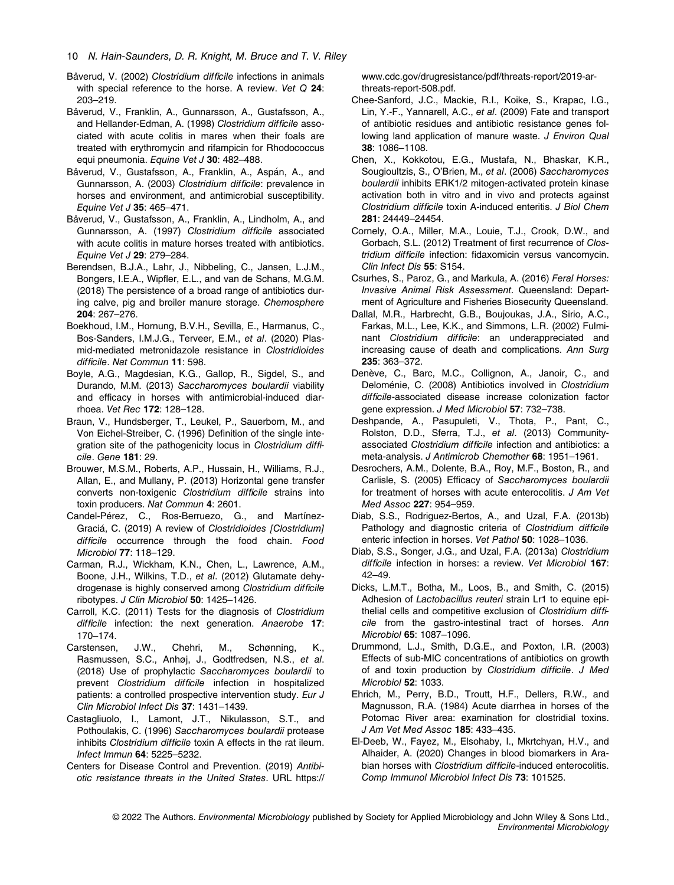- Båverud, V. (2002) Clostridium difficile infections in animals with special reference to the horse. A review. Vet Q 24: 203–219.
- Båverud, V., Franklin, A., Gunnarsson, A., Gustafsson, A., and Hellander-Edman, A. (1998) Clostridium difficile associated with acute colitis in mares when their foals are treated with erythromycin and rifampicin for Rhodococcus equi pneumonia. Equine Vet J 30: 482-488.
- Båverud, V., Gustafsson, A., Franklin, A., Aspán, A., and Gunnarsson, A. (2003) Clostridium difficile: prevalence in horses and environment, and antimicrobial susceptibility. Equine Vet J 35: 465–471.
- Båverud, V., Gustafsson, A., Franklin, A., Lindholm, A., and Gunnarsson, A. (1997) Clostridium difficile associated with acute colitis in mature horses treated with antibiotics. Equine Vet J 29: 279–284.
- Berendsen, B.J.A., Lahr, J., Nibbeling, C., Jansen, L.J.M., Bongers, I.E.A., Wipfler, E.L., and van de Schans, M.G.M. (2018) The persistence of a broad range of antibiotics during calve, pig and broiler manure storage. Chemosphere 204: 267–276.
- Boekhoud, I.M., Hornung, B.V.H., Sevilla, E., Harmanus, C., Bos-Sanders, I.M.J.G., Terveer, E.M., et al. (2020) Plasmid-mediated metronidazole resistance in Clostridioides difficile. Nat Commun 11: 598.
- Boyle, A.G., Magdesian, K.G., Gallop, R., Sigdel, S., and Durando, M.M. (2013) Saccharomyces boulardii viability and efficacy in horses with antimicrobial-induced diarrhoea. Vet Rec 172: 128–128.
- Braun, V., Hundsberger, T., Leukel, P., Sauerborn, M., and Von Eichel-Streiber, C. (1996) Definition of the single integration site of the pathogenicity locus in Clostridium difficile. Gene 181: 29.
- Brouwer, M.S.M., Roberts, A.P., Hussain, H., Williams, R.J., Allan, E., and Mullany, P. (2013) Horizontal gene transfer converts non-toxigenic Clostridium difficile strains into toxin producers. Nat Commun 4: 2601.
- Candel-Pérez, C., Ros-Berruezo, G., and Martínez-Graciá, C. (2019) A review of Clostridioides [Clostridium] difficile occurrence through the food chain. Food Microbiol 77: 118–129.
- Carman, R.J., Wickham, K.N., Chen, L., Lawrence, A.M., Boone, J.H., Wilkins, T.D., et al. (2012) Glutamate dehydrogenase is highly conserved among Clostridium difficile ribotypes. J Clin Microbiol 50: 1425–1426.
- Carroll, K.C. (2011) Tests for the diagnosis of Clostridium difficile infection: the next generation. Anaerobe 17: 170–174.
- Carstensen, J.W., Chehri, M., Schønning, K., Rasmussen, S.C., Anhøj, J., Godtfredsen, N.S., et al. (2018) Use of prophylactic Saccharomyces boulardii to prevent Clostridium difficile infection in hospitalized patients: a controlled prospective intervention study. Eur J Clin Microbiol Infect Dis 37: 1431–1439.
- Castagliuolo, I., Lamont, J.T., Nikulasson, S.T., and Pothoulakis, C. (1996) Saccharomyces boulardii protease inhibits Clostridium difficile toxin A effects in the rat ileum. Infect Immun 64: 5225–5232.
- Centers for Disease Control and Prevention. (2019) Antibiotic resistance threats in the United States. URL [https://](https://www.cdc.gov/drugresistance/pdf/threats-report/2019-ar-threats-report-508.pdf)

[www.cdc.gov/drugresistance/pdf/threats-report/2019-ar](https://www.cdc.gov/drugresistance/pdf/threats-report/2019-ar-threats-report-508.pdf)[threats-report-508.pdf.](https://www.cdc.gov/drugresistance/pdf/threats-report/2019-ar-threats-report-508.pdf)

- Chee-Sanford, J.C., Mackie, R.I., Koike, S., Krapac, I.G., Lin, Y.-F., Yannarell, A.C., et al. (2009) Fate and transport of antibiotic residues and antibiotic resistance genes following land application of manure waste. J Environ Qual 38: 1086–1108.
- Chen, X., Kokkotou, E.G., Mustafa, N., Bhaskar, K.R., Sougioultzis, S., O'Brien, M., et al. (2006) Saccharomyces boulardii inhibits ERK1/2 mitogen-activated protein kinase activation both in vitro and in vivo and protects against Clostridium difficile toxin A-induced enteritis. J Biol Chem 281: 24449–24454.
- Cornely, O.A., Miller, M.A., Louie, T.J., Crook, D.W., and Gorbach, S.L. (2012) Treatment of first recurrence of Clostridium difficile infection: fidaxomicin versus vancomycin. Clin Infect Dis 55: S154.
- Csurhes, S., Paroz, G., and Markula, A. (2016) Feral Horses: Invasive Animal Risk Assessment. Queensland: Department of Agriculture and Fisheries Biosecurity Queensland.
- Dallal, M.R., Harbrecht, G.B., Boujoukas, J.A., Sirio, A.C., Farkas, M.L., Lee, K.K., and Simmons, L.R. (2002) Fulminant Clostridium difficile: an underappreciated and increasing cause of death and complications. Ann Surg 235: 363–372.
- Denève, C., Barc, M.C., Collignon, A., Janoir, C., and Deloménie, C. (2008) Antibiotics involved in Clostridium difficile-associated disease increase colonization factor gene expression. J Med Microbiol 57: 732–738.
- Deshpande, A., Pasupuleti, V., Thota, P., Pant, C., Rolston, D.D., Sferra, T.J., et al. (2013) Communityassociated Clostridium difficile infection and antibiotics: a meta-analysis. J Antimicrob Chemother 68: 1951–1961.
- Desrochers, A.M., Dolente, B.A., Roy, M.F., Boston, R., and Carlisle, S. (2005) Efficacy of Saccharomyces boulardii for treatment of horses with acute enterocolitis. J Am Vet Med Assoc 227: 954–959.
- Diab, S.S., Rodriguez-Bertos, A., and Uzal, F.A. (2013b) Pathology and diagnostic criteria of Clostridium difficile enteric infection in horses. Vet Pathol 50: 1028–1036.
- Diab, S.S., Songer, J.G., and Uzal, F.A. (2013a) Clostridium difficile infection in horses: a review. Vet Microbiol 167: 42–49.
- Dicks, L.M.T., Botha, M., Loos, B., and Smith, C. (2015) Adhesion of Lactobacillus reuteri strain Lr1 to equine epithelial cells and competitive exclusion of Clostridium difficile from the gastro-intestinal tract of horses. Ann Microbiol 65: 1087–1096.
- Drummond, L.J., Smith, D.G.E., and Poxton, I.R. (2003) Effects of sub-MIC concentrations of antibiotics on growth of and toxin production by Clostridium difficile. J Med Microbiol 52: 1033.
- Ehrich, M., Perry, B.D., Troutt, H.F., Dellers, R.W., and Magnusson, R.A. (1984) Acute diarrhea in horses of the Potomac River area: examination for clostridial toxins. J Am Vet Med Assoc 185: 433–435.
- El-Deeb, W., Fayez, M., Elsohaby, I., Mkrtchyan, H.V., and Alhaider, A. (2020) Changes in blood biomarkers in Arabian horses with Clostridium difficile-induced enterocolitis. Comp Immunol Microbiol Infect Dis 73: 101525.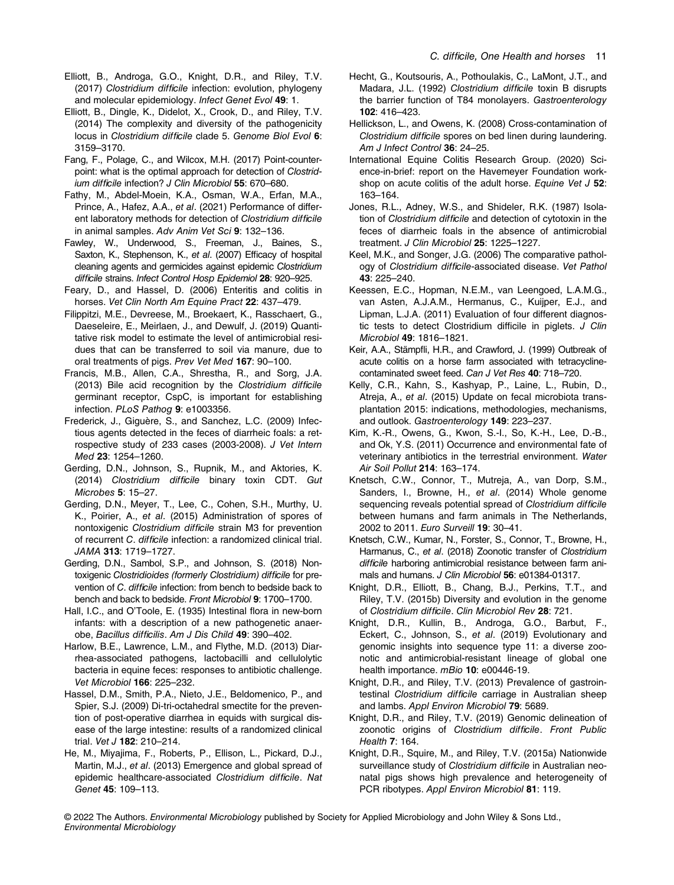- Elliott, B., Androga, G.O., Knight, D.R., and Riley, T.V. (2017) Clostridium difficile infection: evolution, phylogeny and molecular epidemiology. Infect Genet Evol 49: 1.
- Elliott, B., Dingle, K., Didelot, X., Crook, D., and Riley, T.V. (2014) The complexity and diversity of the pathogenicity locus in Clostridium difficile clade 5. Genome Biol Evol 6: 3159–3170.
- Fang, F., Polage, C., and Wilcox, M.H. (2017) Point-counterpoint: what is the optimal approach for detection of Clostridium difficile infection? J Clin Microbiol 55: 670–680.
- Fathy, M., Abdel-Moein, K.A., Osman, W.A., Erfan, M.A., Prince, A., Hafez, A.A., et al. (2021) Performance of different laboratory methods for detection of Clostridium difficile in animal samples. Adv Anim Vet Sci 9: 132–136.
- Fawley, W., Underwood, S., Freeman, J., Baines, S., Saxton, K., Stephenson, K., et al. (2007) Efficacy of hospital cleaning agents and germicides against epidemic Clostridium difficile strains. Infect Control Hosp Epidemiol 28: 920–925.
- Feary, D., and Hassel, D. (2006) Enteritis and colitis in horses. Vet Clin North Am Equine Pract 22: 437-479.
- Filippitzi, M.E., Devreese, M., Broekaert, K., Rasschaert, G., Daeseleire, E., Meirlaen, J., and Dewulf, J. (2019) Quantitative risk model to estimate the level of antimicrobial residues that can be transferred to soil via manure, due to oral treatments of pigs. Prev Vet Med 167: 90–100.
- Francis, M.B., Allen, C.A., Shrestha, R., and Sorg, J.A. (2013) Bile acid recognition by the Clostridium difficile germinant receptor, CspC, is important for establishing infection. PLoS Pathog 9: e1003356.
- Frederick, J., Giguère, S., and Sanchez, L.C. (2009) Infectious agents detected in the feces of diarrheic foals: a retrospective study of 233 cases (2003-2008). J Vet Intern Med 23: 1254–1260.
- Gerding, D.N., Johnson, S., Rupnik, M., and Aktories, K. (2014) Clostridium difficile binary toxin CDT. Gut Microbes 5: 15–27.
- Gerding, D.N., Meyer, T., Lee, C., Cohen, S.H., Murthy, U. K., Poirier, A., et al. (2015) Administration of spores of nontoxigenic Clostridium difficile strain M3 for prevention of recurrent C. difficile infection: a randomized clinical trial. JAMA 313: 1719–1727.
- Gerding, D.N., Sambol, S.P., and Johnson, S. (2018) Nontoxigenic Clostridioides (formerly Clostridium) difficile for prevention of C. difficile infection: from bench to bedside back to bench and back to bedside. Front Microbiol 9: 1700–1700.
- Hall, I.C., and O'Toole, E. (1935) Intestinal flora in new-born infants: with a description of a new pathogenetic anaerobe, Bacillus difficilis. Am J Dis Child 49: 390–402.
- Harlow, B.E., Lawrence, L.M., and Flythe, M.D. (2013) Diarrhea-associated pathogens, lactobacilli and cellulolytic bacteria in equine feces: responses to antibiotic challenge. Vet Microbiol 166: 225–232.
- Hassel, D.M., Smith, P.A., Nieto, J.E., Beldomenico, P., and Spier, S.J. (2009) Di-tri-octahedral smectite for the prevention of post-operative diarrhea in equids with surgical disease of the large intestine: results of a randomized clinical trial. Vet J 182: 210–214.
- He, M., Miyajima, F., Roberts, P., Ellison, L., Pickard, D.J., Martin, M.J., et al. (2013) Emergence and global spread of epidemic healthcare-associated Clostridium difficile. Nat Genet 45: 109–113.
- Hecht, G., Koutsouris, A., Pothoulakis, C., LaMont, J.T., and Madara, J.L. (1992) Clostridium difficile toxin B disrupts the barrier function of T84 monolayers. Gastroenterology 102: 416–423.
- Hellickson, L., and Owens, K. (2008) Cross-contamination of Clostridium difficile spores on bed linen during laundering. Am J Infect Control 36: 24-25.
- International Equine Colitis Research Group. (2020) Science-in-brief: report on the Havemeyer Foundation workshop on acute colitis of the adult horse. Equine Vet J 52: 163–164.
- Jones, R.L., Adney, W.S., and Shideler, R.K. (1987) Isolation of Clostridium difficile and detection of cytotoxin in the feces of diarrheic foals in the absence of antimicrobial treatment. J Clin Microbiol 25: 1225–1227.
- Keel, M.K., and Songer, J.G. (2006) The comparative pathology of Clostridium difficile-associated disease. Vet Pathol 43: 225–240.
- Keessen, E.C., Hopman, N.E.M., van Leengoed, L.A.M.G., van Asten, A.J.A.M., Hermanus, C., Kuijper, E.J., and Lipman, L.J.A. (2011) Evaluation of four different diagnostic tests to detect Clostridium difficile in piglets. J Clin Microbiol 49: 1816–1821.
- Keir, A.A., Stämpfli, H.R., and Crawford, J. (1999) Outbreak of acute colitis on a horse farm associated with tetracyclinecontaminated sweet feed. Can J Vet Res 40: 718–720.
- Kelly, C.R., Kahn, S., Kashyap, P., Laine, L., Rubin, D., Atreja, A., et al. (2015) Update on fecal microbiota transplantation 2015: indications, methodologies, mechanisms, and outlook. Gastroenterology 149: 223–237.
- Kim, K.-R., Owens, G., Kwon, S.-I., So, K.-H., Lee, D.-B., and Ok, Y.S. (2011) Occurrence and environmental fate of veterinary antibiotics in the terrestrial environment. Water Air Soil Pollut 214: 163–174.
- Knetsch, C.W., Connor, T., Mutreja, A., van Dorp, S.M., Sanders, I., Browne, H., et al. (2014) Whole genome sequencing reveals potential spread of Clostridium difficile between humans and farm animals in The Netherlands, 2002 to 2011. Euro Surveill 19: 30–41.
- Knetsch, C.W., Kumar, N., Forster, S., Connor, T., Browne, H., Harmanus, C., et al. (2018) Zoonotic transfer of Clostridium difficile harboring antimicrobial resistance between farm animals and humans. J Clin Microbiol 56: e01384-01317.
- Knight, D.R., Elliott, B., Chang, B.J., Perkins, T.T., and Riley, T.V. (2015b) Diversity and evolution in the genome of Clostridium difficile. Clin Microbiol Rev 28: 721.
- Knight, D.R., Kullin, B., Androga, G.O., Barbut, F., Eckert, C., Johnson, S., et al. (2019) Evolutionary and genomic insights into sequence type 11: a diverse zoonotic and antimicrobial-resistant lineage of global one health importance. mBio 10: e00446-19.
- Knight, D.R., and Riley, T.V. (2013) Prevalence of gastrointestinal Clostridium difficile carriage in Australian sheep and lambs. Appl Environ Microbiol 79: 5689.
- Knight, D.R., and Riley, T.V. (2019) Genomic delineation of zoonotic origins of Clostridium difficile. Front Public Health 7: 164.
- Knight, D.R., Squire, M., and Riley, T.V. (2015a) Nationwide surveillance study of Clostridium difficile in Australian neonatal pigs shows high prevalence and heterogeneity of PCR ribotypes. Appl Environ Microbiol 81: 119.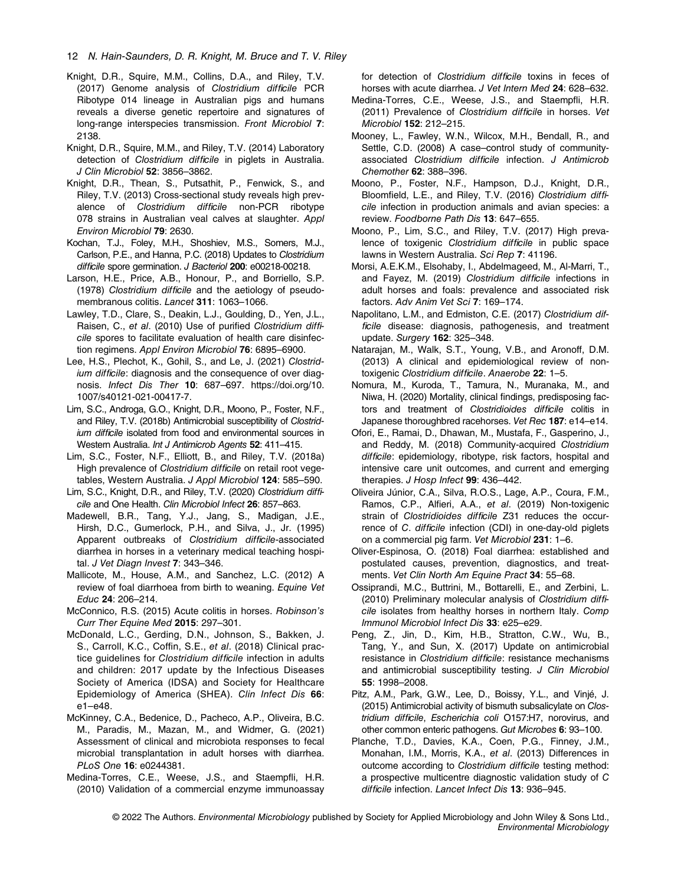#### 12 N. Hain-Saunders, D. R. Knight, M. Bruce and T. V. Riley

- Knight, D.R., Squire, M.M., Collins, D.A., and Riley, T.V. (2017) Genome analysis of Clostridium difficile PCR Ribotype 014 lineage in Australian pigs and humans reveals a diverse genetic repertoire and signatures of long-range interspecies transmission. Front Microbiol 7: 2138.
- Knight, D.R., Squire, M.M., and Riley, T.V. (2014) Laboratory detection of Clostridium difficile in piglets in Australia. J Clin Microbiol 52: 3856–3862.
- Knight, D.R., Thean, S., Putsathit, P., Fenwick, S., and Riley, T.V. (2013) Cross-sectional study reveals high prevalence of Clostridium difficile non-PCR ribotype 078 strains in Australian veal calves at slaughter. Appl Environ Microbiol 79: 2630.
- Kochan, T.J., Foley, M.H., Shoshiev, M.S., Somers, M.J., Carlson, P.E., and Hanna, P.C. (2018) Updates to Clostridium difficile spore germination. J Bacteriol 200: e00218-00218.
- Larson, H.E., Price, A.B., Honour, P., and Borriello, S.P. (1978) Clostridium difficile and the aetiology of pseudomembranous colitis. Lancet 311: 1063-1066.
- Lawley, T.D., Clare, S., Deakin, L.J., Goulding, D., Yen, J.L., Raisen, C., et al. (2010) Use of purified Clostridium difficile spores to facilitate evaluation of health care disinfection regimens. Appl Environ Microbiol 76: 6895–6900.
- Lee, H.S., Plechot, K., Gohil, S., and Le, J. (2021) Clostridium difficile: diagnosis and the consequence of over diagnosis. Infect Dis Ther 10: 687–697. [https://doi.org/10.](https://doi.org/10.1007/s40121-021-00417-7) [1007/s40121-021-00417-7](https://doi.org/10.1007/s40121-021-00417-7).
- Lim, S.C., Androga, G.O., Knight, D.R., Moono, P., Foster, N.F., and Riley, T.V. (2018b) Antimicrobial susceptibility of Clostridium difficile isolated from food and environmental sources in Western Australia. Int J Antimicrob Agents 52: 411–415.
- Lim, S.C., Foster, N.F., Elliott, B., and Riley, T.V. (2018a) High prevalence of Clostridium difficile on retail root vegetables, Western Australia. J Appl Microbiol 124: 585–590.
- Lim, S.C., Knight, D.R., and Riley, T.V. (2020) Clostridium difficile and One Health. Clin Microbiol Infect 26: 857–863.
- Madewell, B.R., Tang, Y.J., Jang, S., Madigan, J.E., Hirsh, D.C., Gumerlock, P.H., and Silva, J., Jr. (1995) Apparent outbreaks of Clostridium difficile-associated diarrhea in horses in a veterinary medical teaching hospital. J Vet Diagn Invest 7: 343–346.
- Mallicote, M., House, A.M., and Sanchez, L.C. (2012) A review of foal diarrhoea from birth to weaning. Equine Vet Educ 24: 206–214.
- McConnico, R.S. (2015) Acute colitis in horses. Robinson's Curr Ther Equine Med 2015: 297–301.
- McDonald, L.C., Gerding, D.N., Johnson, S., Bakken, J. S., Carroll, K.C., Coffin, S.E., et al. (2018) Clinical practice guidelines for Clostridium difficile infection in adults and children: 2017 update by the Infectious Diseases Society of America (IDSA) and Society for Healthcare Epidemiology of America (SHEA). Clin Infect Dis 66: e1–e48.
- McKinney, C.A., Bedenice, D., Pacheco, A.P., Oliveira, B.C. M., Paradis, M., Mazan, M., and Widmer, G. (2021) Assessment of clinical and microbiota responses to fecal microbial transplantation in adult horses with diarrhea. PLoS One 16: e0244381.
- Medina-Torres, C.E., Weese, J.S., and Staempfli, H.R. (2010) Validation of a commercial enzyme immunoassay

for detection of Clostridium difficile toxins in feces of horses with acute diarrhea. J Vet Intern Med 24: 628-632.

- Medina-Torres, C.E., Weese, J.S., and Staempfli, H.R. (2011) Prevalence of Clostridium difficile in horses. Vet Microbiol 152: 212–215.
- Mooney, L., Fawley, W.N., Wilcox, M.H., Bendall, R., and Settle, C.D. (2008) A case–control study of communityassociated Clostridium difficile infection. J Antimicrob Chemother 62: 388–396.
- Moono, P., Foster, N.F., Hampson, D.J., Knight, D.R., Bloomfield, L.E., and Riley, T.V. (2016) Clostridium difficile infection in production animals and avian species: a review. Foodborne Path Dis 13: 647–655.
- Moono, P., Lim, S.C., and Riley, T.V. (2017) High prevalence of toxigenic Clostridium difficile in public space lawns in Western Australia. Sci Rep 7: 41196.
- Morsi, A.E.K.M., Elsohaby, I., Abdelmageed, M., Al-Marri, T., and Fayez, M. (2019) Clostridium difficile infections in adult horses and foals: prevalence and associated risk factors. Adv Anim Vet Sci 7: 169–174.
- Napolitano, L.M., and Edmiston, C.E. (2017) Clostridium difficile disease: diagnosis, pathogenesis, and treatment update. Surgery 162: 325–348.
- Natarajan, M., Walk, S.T., Young, V.B., and Aronoff, D.M. (2013) A clinical and epidemiological review of nontoxigenic Clostridium difficile. Anaerobe 22: 1–5.
- Nomura, M., Kuroda, T., Tamura, N., Muranaka, M., and Niwa, H. (2020) Mortality, clinical findings, predisposing factors and treatment of Clostridioides difficile colitis in Japanese thoroughbred racehorses. Vet Rec 187: e14–e14.
- Ofori, E., Ramai, D., Dhawan, M., Mustafa, F., Gasperino, J., and Reddy, M. (2018) Community-acquired Clostridium difficile: epidemiology, ribotype, risk factors, hospital and intensive care unit outcomes, and current and emerging therapies. J Hosp Infect 99: 436-442.
- Oliveira Júnior, C.A., Silva, R.O.S., Lage, A.P., Coura, F.M., Ramos, C.P., Alfieri, A.A., et al. (2019) Non-toxigenic strain of Clostridioides difficile Z31 reduces the occurrence of C. difficile infection (CDI) in one-day-old piglets on a commercial pig farm. Vet Microbiol 231: 1–6.
- Oliver-Espinosa, O. (2018) Foal diarrhea: established and postulated causes, prevention, diagnostics, and treatments. Vet Clin North Am Equine Pract 34: 55–68.
- Ossiprandi, M.C., Buttrini, M., Bottarelli, E., and Zerbini, L. (2010) Preliminary molecular analysis of Clostridium difficile isolates from healthy horses in northern Italy. Comp Immunol Microbiol Infect Dis 33: e25–e29.
- Peng, Z., Jin, D., Kim, H.B., Stratton, C.W., Wu, B., Tang, Y., and Sun, X. (2017) Update on antimicrobial resistance in Clostridium difficile: resistance mechanisms and antimicrobial susceptibility testing. J Clin Microbiol 55: 1998–2008.
- Pitz, A.M., Park, G.W., Lee, D., Boissy, Y.L., and Vinjé, J. (2015) Antimicrobial activity of bismuth subsalicylate on Clostridium difficile, Escherichia coli O157:H7, norovirus, and other common enteric pathogens. Gut Microbes 6: 93–100.
- Planche, T.D., Davies, K.A., Coen, P.G., Finney, J.M., Monahan, I.M., Morris, K.A., et al. (2013) Differences in outcome according to Clostridium difficile testing method: a prospective multicentre diagnostic validation study of C difficile infection. Lancet Infect Dis 13: 936–945.